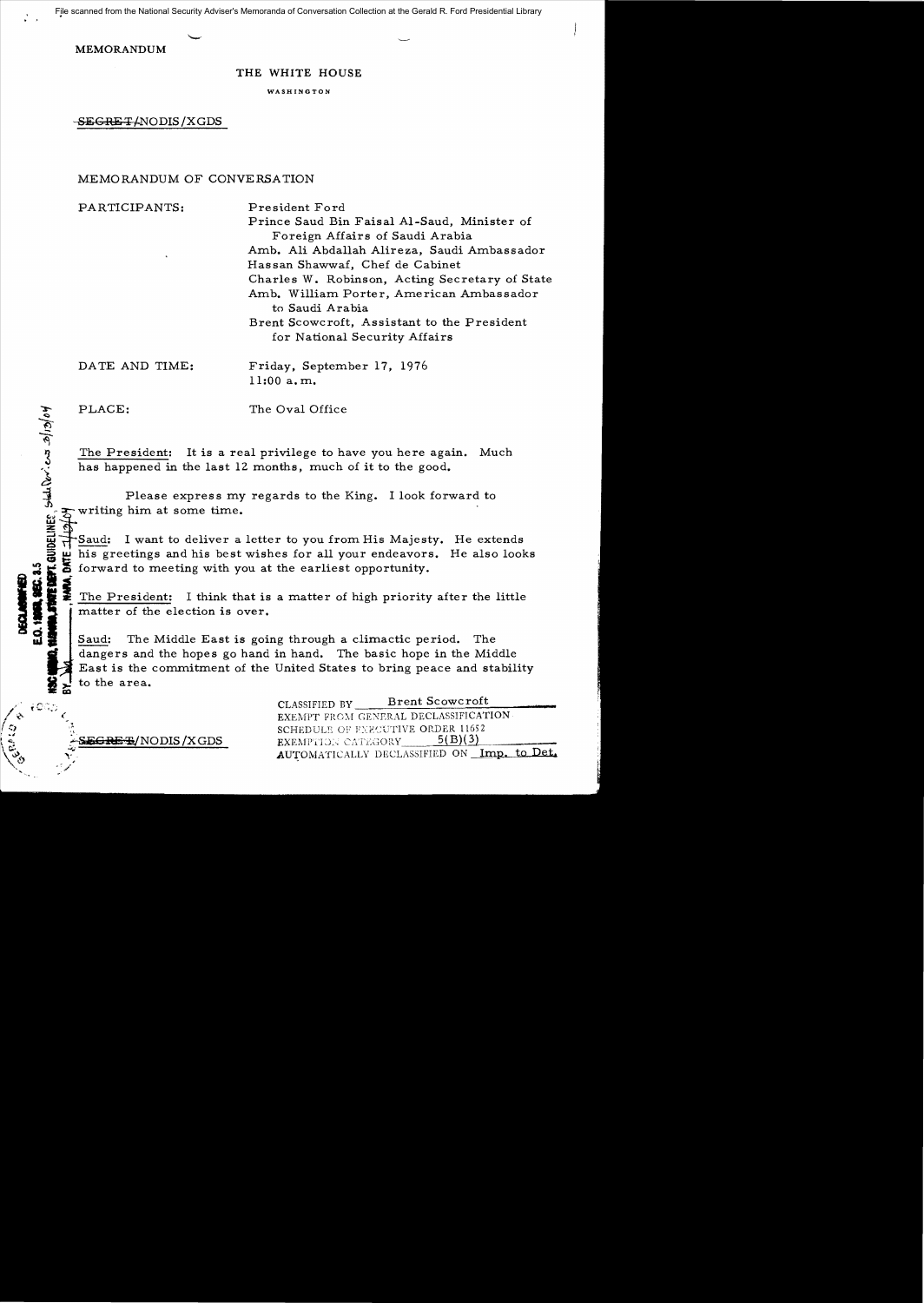File scanned from the National Security Adviser's Memoranda of Conversation Collection at the Gerald R. Ford Presidential Library

MEMORANDUM

## THE WHITE HOUSE

WASHINGTON

 $-$ SEGRET/NODIS/XGDS

MEMORANDUM OF CONVERSATION

PARTICIPANTS: President Ford

Prince Saud Bin Faisal AI-Saud, Minister of Foreign Affairs of Saudi Arabia Amb. Ali Abdallah Alireza, Saudi Ambassador Has san Shawwaf, Chef de Cabinet Charles W. Robinson, Acting Secretary of State Amb. William Porter, American Ambassador to Saudi Arabia Brent Scowcroft, Assistant to the President for National Security Affairs

DATE AND TIME: Friday, September 17, 1976 11:00 a. m.

**WELINES** Stad Devices 20/13/04

**2000 2000 2011**<br>Call MONTO 2011

**DESERVE** 

تق<br>من

"//

,,'

PLACE: The Oval Office

The President: It is a real privilege to have you here again. Much has happened in the last 12 months, much of it to the good.

Please express my regards to the King. I look forward to writing him at some time.

Saud: I want to deliver a letter to you from His Majesty. He extends his greetings and his best wishes for all your endeavors. He also looks forward to meeting with you at the earliest opportunity.

The President: I think that is a matter of high priority after the little matter of the election is over.

Saud: The Middle East is going through a climactic period. The dangers and the hopes go hand in hand. The basic hope in the Middle East is the commitment of the United States to bring peace and stability to the area.

CLASSIFIED BY Brent Scowcroft EXEMPT FROM GENERAL DECLASSIFICATION : SCHEDULE OF FIECUTIVE ORDER 11652<br>
SECREE/NODIS /XGDS EXEMPTION CATEGORY 5(B)(3) AUTOMATICALLY DECLASSIFIED ON Imp. to Det.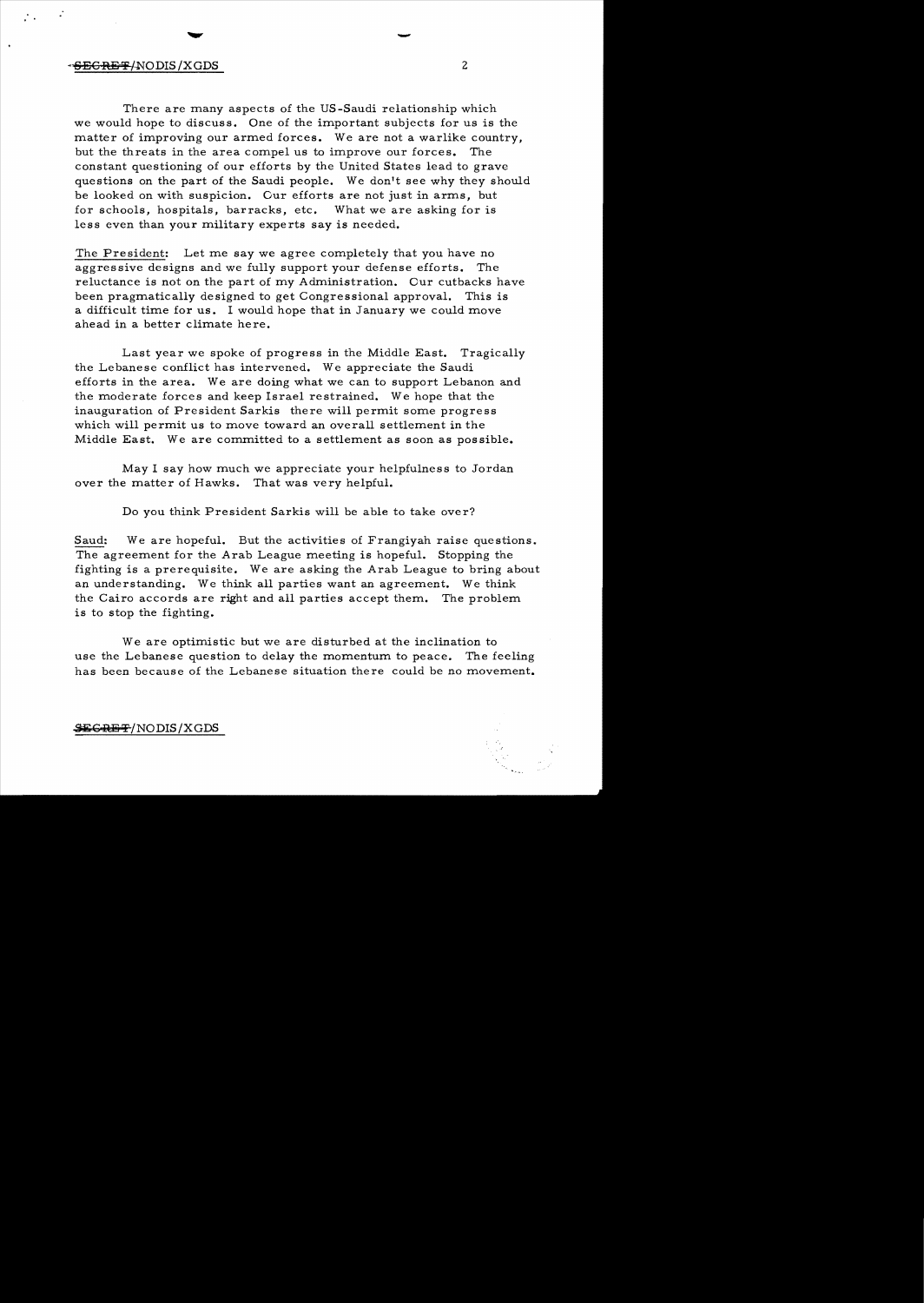## $\sim$  <del>SECRET</del>/NODIS/XGDS 2

 $\mathcal{F}^{\mathcal{F}}_{\mathcal{F}}$ 

There are many aspects of the US-Saudi relationship which we would hope to discuss. One of the important subjects for us is the matter of improving our armed forces. We are not a warlike country, but the threats in the area compel us to improve our forces. The constant questioning of our efforts by the United States lead to grave questions on the part of the Saudi people. We don't see why they should be looked on with suspicion. Our efforts are not just in arms, but for schools, hospitals, barracks, etc. What we are asking for is less even than your military experts say is needed.

The President: Let me say we agree completely that you have no aggressive designs and we fully support your defense efforts. The reluctance is not on the part of my Administration. Our cutbacks have been pragmatically designed to get Congressional approval. This is a difficult time for us. I would hope that in January we could move ahead in a better climate here.

Last year we spoke of progress in the Middle East. Tragically the Lebanese conflict has intervened. We appreciate the Saudi efforts in the area. We are doing what we can to support Lebanon and the moderate forces and keep Israel restrained. We hope that the inauguration of President Sarkis there will permit some progress which will permit us to move toward an overall settlement in the Middle East. We are committed to a settlement as soon as possible.

May I say how much we appreciate your helpfulness to Jordan over the matter of Hawks. That was very helpful.

Do you think President Sarkis will be able to take over?

Saud: We are hopeful. But the activities of Frangiyah raise questions. The agreement for the Arab League meeting is hopeful. Stopping the fighting is a prerequisite. We are asking the Arab League to bring about an understanding. We think all parties want an agreement. We think the Cairo accords are right and all parties accept them. The problem is to stop the fighting.

We are optimistic but we are disturbed at the inclination to use the Lebanese question to delay the momentum to peace. The feeling has been because of the Lebanese situation there could be no movement.

-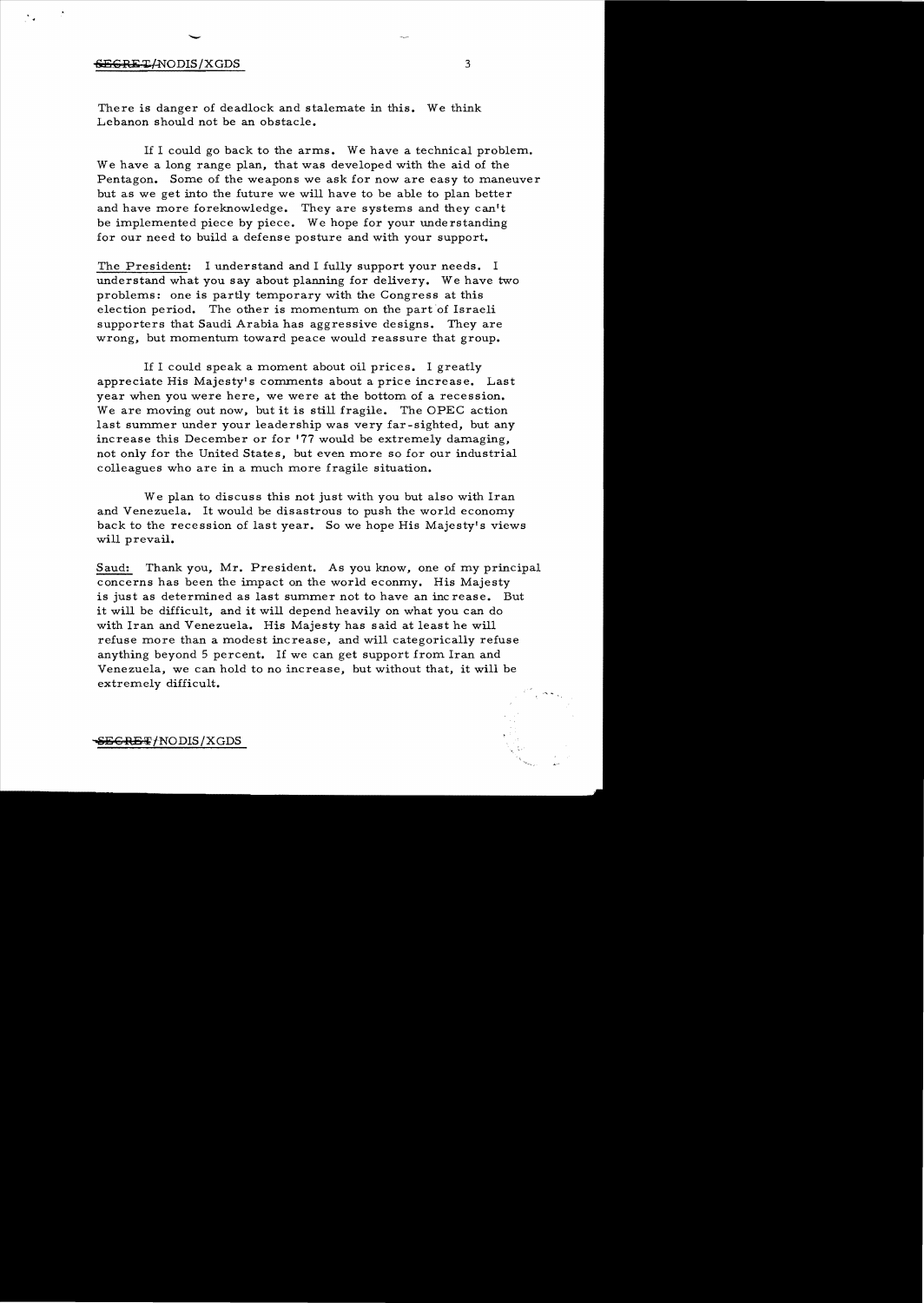### $S_{\text{E}}$ GRET/NODIS/XGDS 3

-

There is danger of deadlock and stalemate in this. We think Lebanon should not be an obstacle.

If I could go back to the arms. We have a technical problem. We have a long range plan, that was developed with the aid of the Pentagon. Some of the weapons we ask for now are easy to maneuver but as we get into the future we will have to be able to plan better and have more foreknowledge. They are systems and they can't be implemented piece by piece. We hope for your understanding for our need to build a defense posture and with your support.

The President: I understand and I fully support your needs. I understand what you say about planning for delivery. We have two problems: one is partly temporary with the Congress at this election period. The other is momentum on the part of Israeli supporters that Saudi Arabia has aggressive designs. They are wrong, but momentum toward peace would reassure that group.

If I could speak a moment about oil prices. I greatly appreciate His Majesty's comments about a price increase. Last year when you were here, we were at the bottom of a recession. We are moving out now, but it is still fragile. The OPEC action last summer under your leadership was very far-sighted, but any increase this December or for '77 would be extremely damaging, not only for the United States, but even more so for our industrial colleagues who are in a much more fragile situation.

We plan to discuss this not just with you but also with Iran and Venezuela. It would be disastrous to push the world economy back to the recession of last year. So we hope His Majesty's views will prevail.

Saud: Thank you, Mr. President. As you know, one of my principal concerns has been the impact on the world econmy. His Majesty is just as determined as last summer not to have an inc rease. But it will be difficult, and it will depend heavily on what you can do with Iran and Venezuela. His Majesty has said at least he will refuse more than a modest increase, and will categorically refuse anything beyond 5 percent. If we can get support from Iran and Venezuela, we can hold to no increase, but without that, it will be extremely difficult.

 $-$  SEGRET/NODIS/XGDS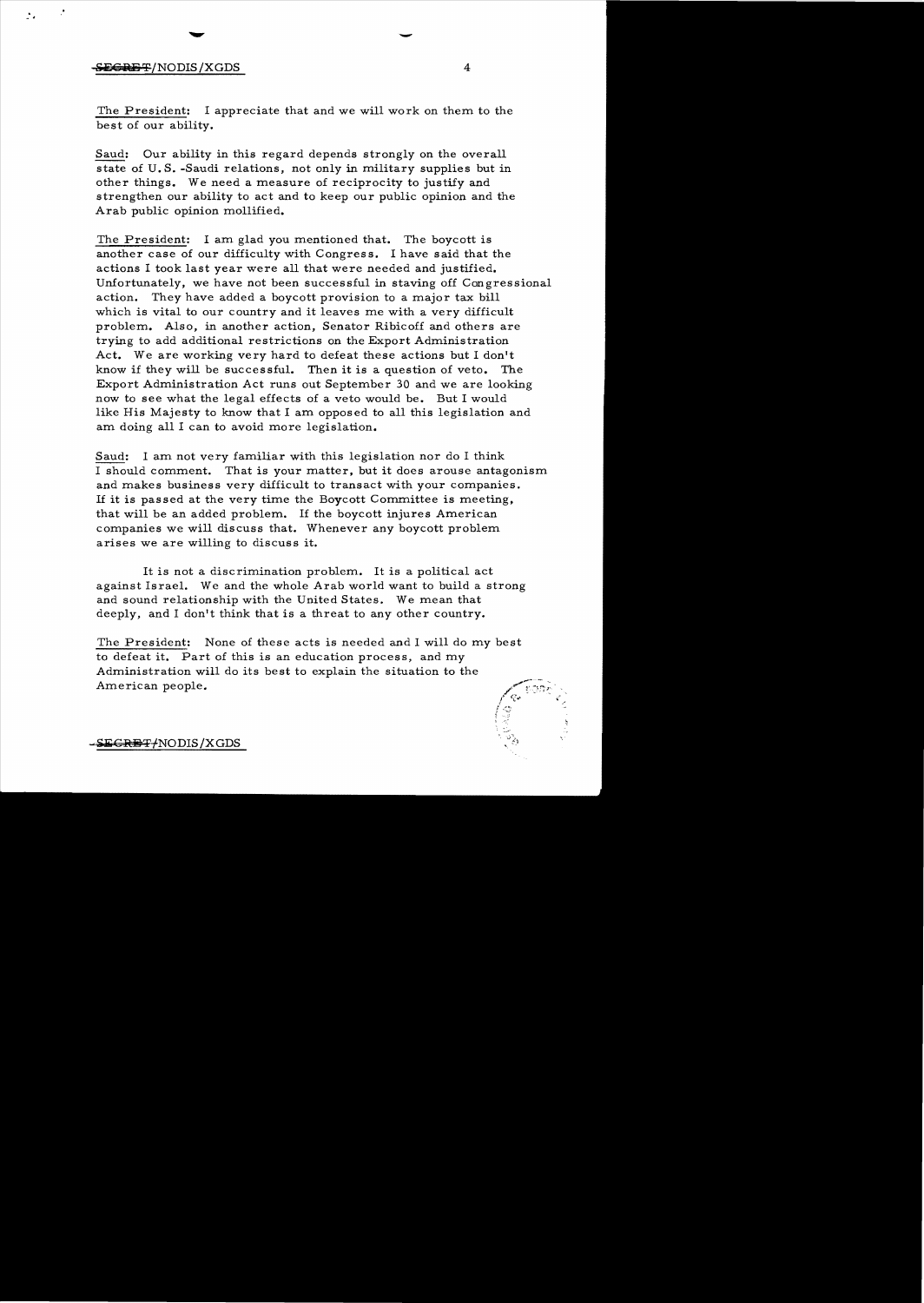### $-$ <del>SECRET</del>/NODIS/XGDS  $4$

 $\mathcal{F}_{\mathbf{z}}$ 

-

The President: I appreciate that and we will work on them to the best of our ability.

Saud: Our ability in this regard depends strongly on the overall state of U.S. -Saudi relations, not only in military supplies but in other things. We need a measure of reciprocity to justify and strengthen our ability to act and to keep our public opinion and the Arab public opinion mollified.

The President: I am glad you mentioned that. The boycott is another case of our difficulty with Congress. I have said that the actions I took last year were all that were needed and justified. Unfortunately, we have not been successful in staving off Congressional action. They have added a boycott provision to a major tax bill which is vital to our country and it leaves me with a very difficult problem.. Also, in another action, Senator Ribicoff and others are trying to add additional restrictions on the Export Administration Act. We are working very hard to defeat these actions but I don't know if they will be successful. Then it is a question of veto. The Export Administration Act runs out September 30 and we are looking now to see what the legal effects of a veto would be. But I would like His Majesty to know that I am. opposed to all this legislation and am doing all I can to avoid more legislation.

Saud: I am not very familiar with this legislation nor do I think I should comment. That is your matter, but it does arouse antagonism. and makes business very difficult to transact with your companies. If it is passed at the very time the Boycott Committee is meeting, that will be an added problem. If the boycott injures American companies we will discuss that. Whenever any boycott problem. arises we are willing to discuss it.

It is not a discrimination problem. It is a political act against Israel. We and the whole Arab world want to build a strong and sound relationship with the United States. We mean that deeply, and I don't think that is a threat to any other country.

The President: None of these acts is needed and I will do my best to defeat it. Part of this is an education process, and my Administration will do its best to explain the situation to the American people.



SE<del>CRET/</del>NODIS/XGDS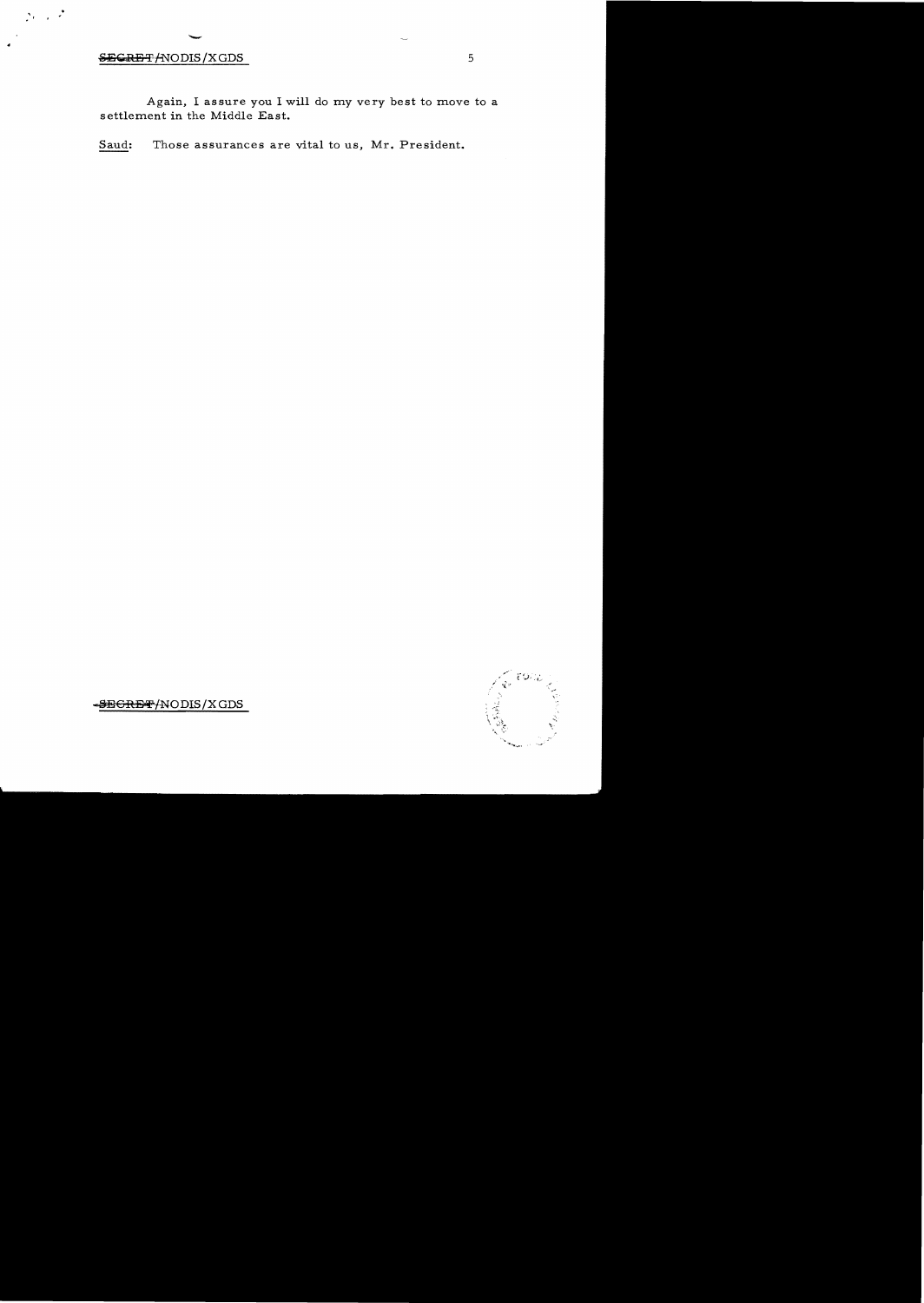# **SECRET/NODIS/XGDS**

 $\sum_{i=1}^n \frac{1}{i}$ 

Again, I assure you I will do my very best to move to a settlement in the Middle East.

Saud: Those assurances are vital to us, Mr. President.



-SEGRET/NODIS/XGDS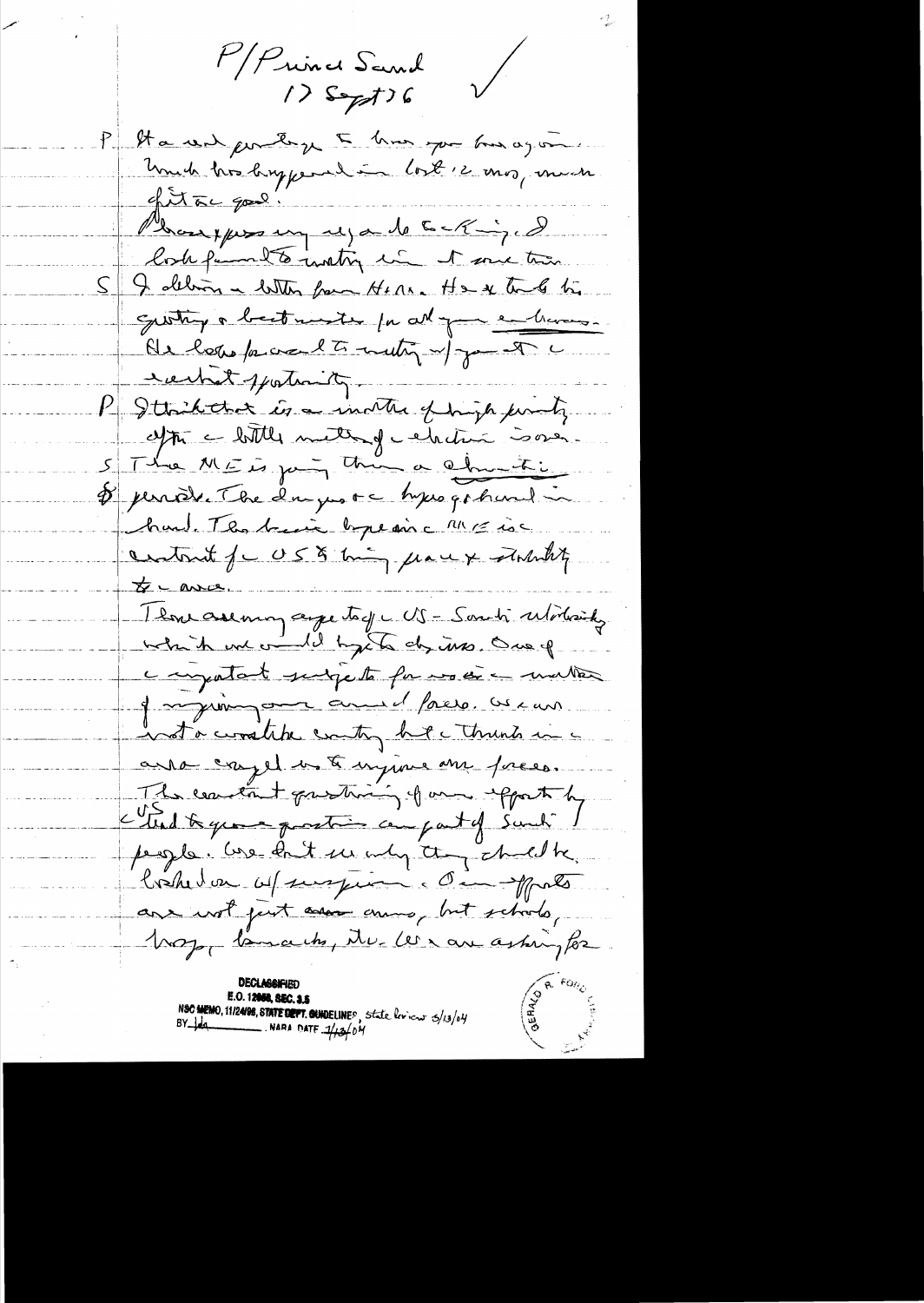P/Prince Sand

 $\bigvee$ 

P Sta we pourte ge 5 km par bon again.  $\sin x$  for  $\cos x$ . Bouffers in up a le CIT in look funnel to insting in the some time S & deliver a letter from Henre He a to be quoting a best moster for all you continues. Al low face lt muty af you the echat portionity P Stack that is a incute of high function after a bittle method a chetie issuer. 5 The MEI join this a churchie D'period. The day we to hypogethered hand. The beain bypeainc ME is centrat fc US & tring place & statistiky  $\bigstar$  - as  $c$ 1 en assumon age toge US - Santi Working which we would hysta dy ins. One of compatant surpet forma de matter of myringerne and face, we can not a worship with her thunk in ana capel in to injurie ans preces. The constant questioning of and efforthy Citud to grow quantion can part of Sunch 1 people. We don't see why they child be. bohela afsuspices de Mats are not just association of but schools, hope tomarts, the less are asking for **E.O. 12060, SEC. 3.5**<br>NSC MEMO, 11/24/98, STATE DEPT. QUADELINES, state levicus  $5/13/64$ <br>BY  $\frac{1}{4}$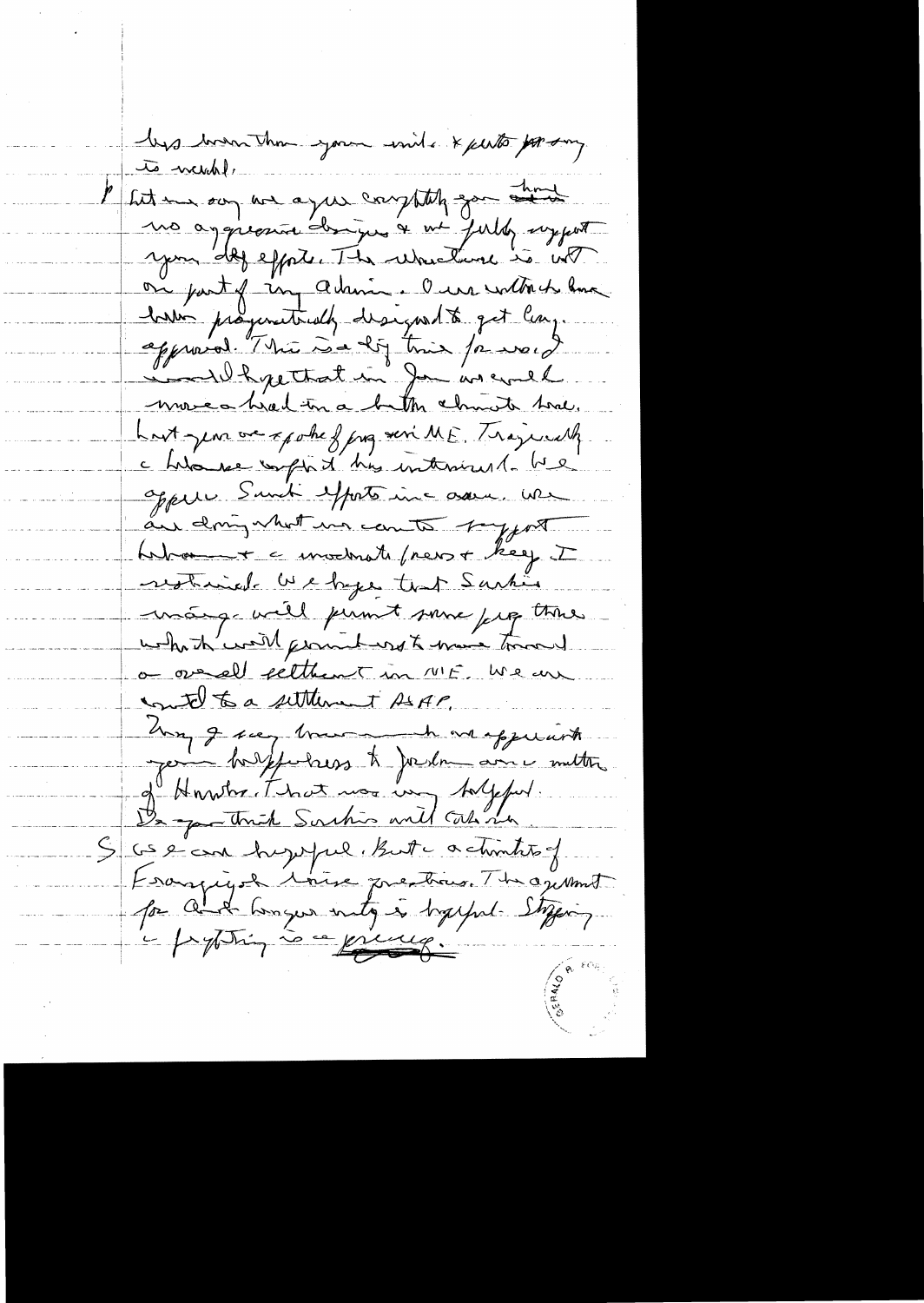by brown than your wind. \* perto por ony to weekly I lit me our we again comptaly gon and us aggregate dangers & at fully sypert you 'di efforte. The relactions is well ou part y un admin. Our with the line Last jeune we spoke of prog verille. They will chilouse unfort his intenient. he opper Sunt efforts inc aser, we au doing what we can to say of habon + a moderate (news + key I restrieds be begge that Sachie mange will permit some forg there what well point use to torond <u>a overall settlement in MF. We are</u> count to a settlement ASAP. Un green trans à jouhannementale S GS e can hughpel But a chinter of Lorongigo laire pretier. The agestion to par cent bonque entgé depute Styping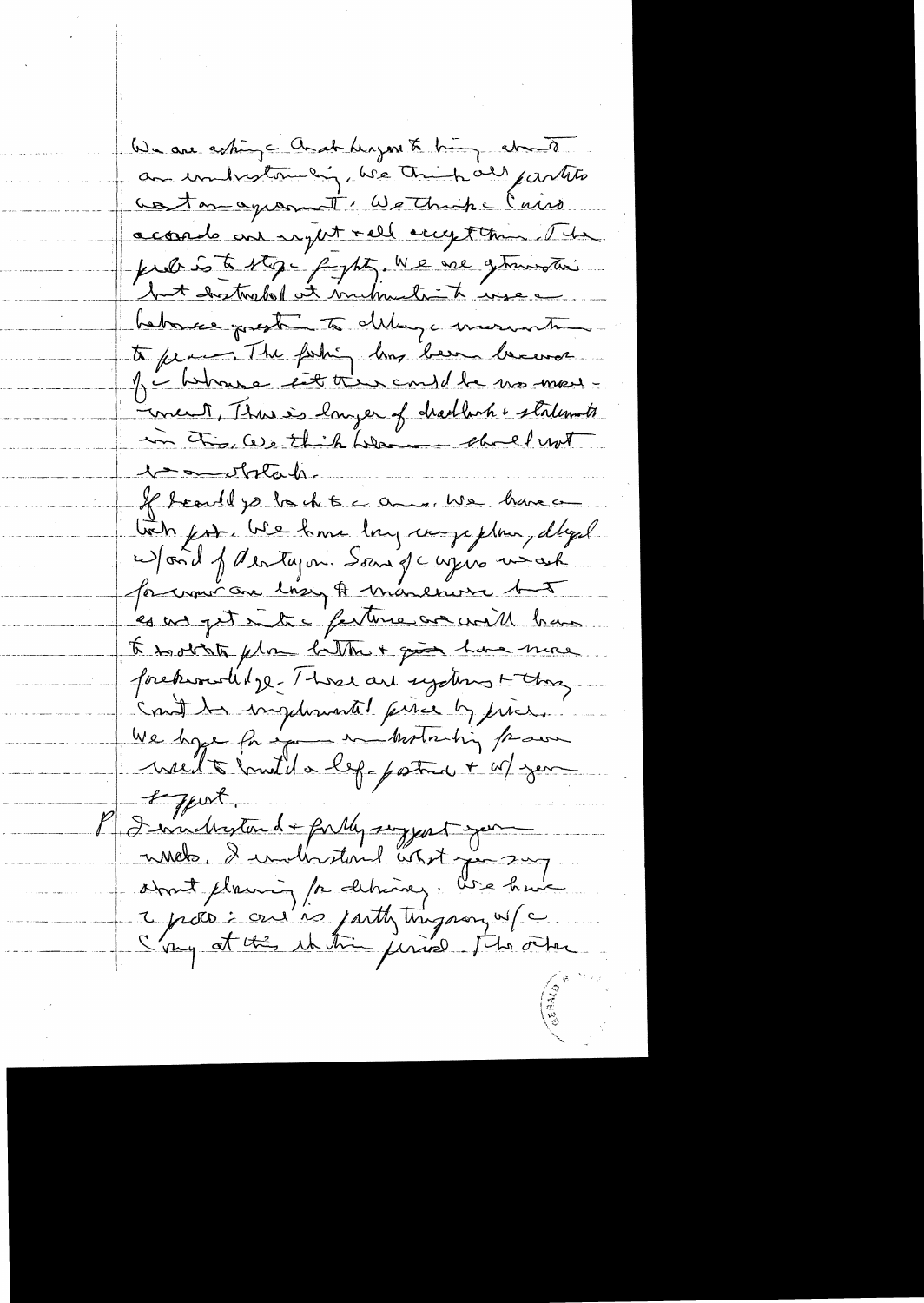We are conting and hayon to him about an united in we think all partite aston agromat : We think c Cairo accords are regat rell accept time. The probabile stope fught, we are gettington but distribut it includit insec betonce preste to delay a merinten to fear . The fishing long been because of inhance text there and be no more Erreut, Thus is longer of dradhoch + stalements in this we think were the lust 1 avoltale If beautiful to the to come we have tinh fut ble home long competent, dagel Dand J dentajon Sons de ayres une ask for comme one lossy to manerise but Les us get intre ferture are with has to sort toto flow hetthe + good have more forekrounding / hose are systems there count les implements pries by price. We hope for ignore in Motarhing frame needt count da left patrice + at year toppet. V I indiction de forMy suggest spen meds, & individual about ju sur about planning /or detainery. We have I poto: one is justly this pay w/c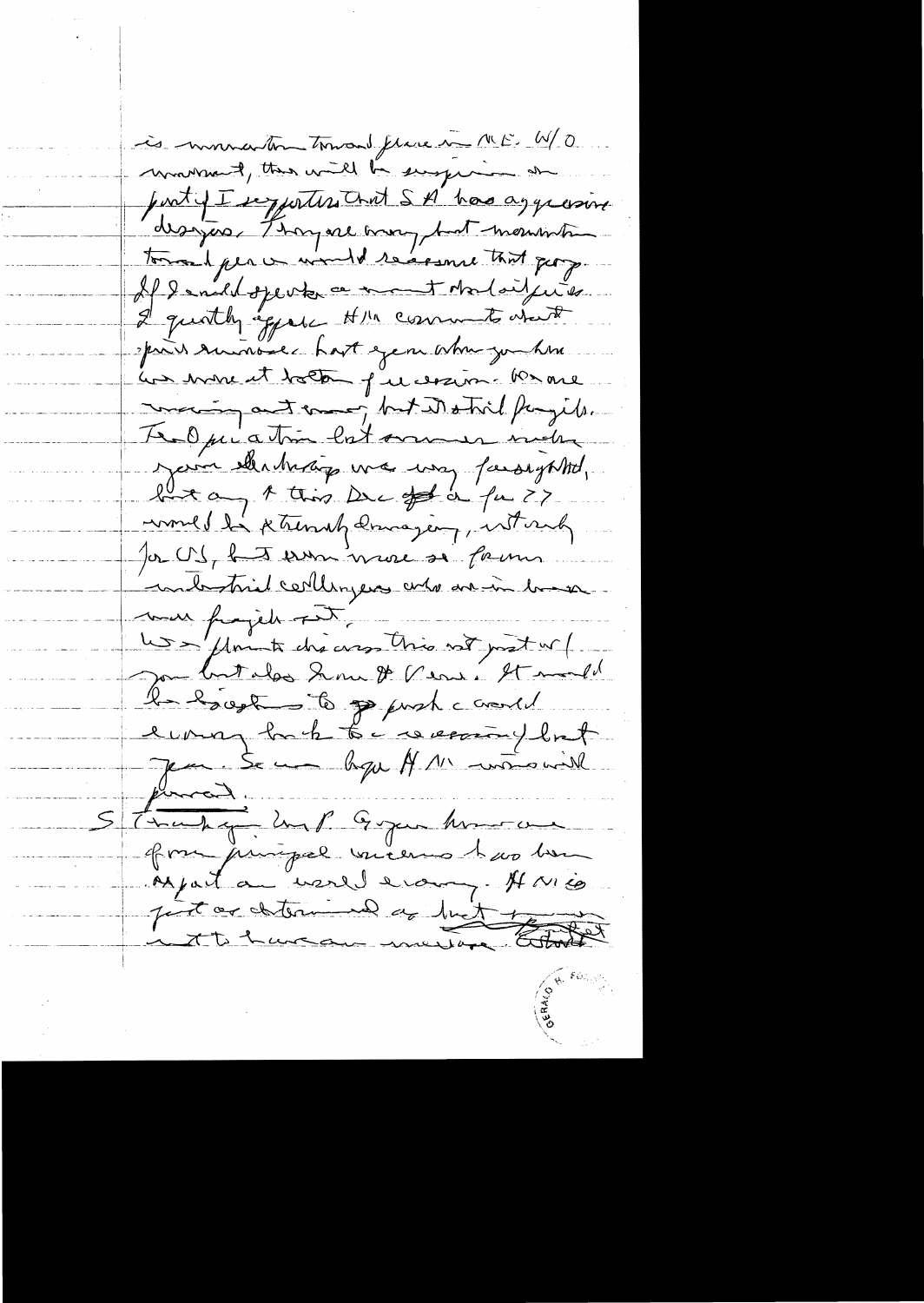is numeration tomand fluxe en ME. W/O moment, this will be surgeries on justigt supporting that SA has a generaise designer Thompsel month mountain toward per a would receive that george If I early speak a mont molait juive. I quitty equit this comments when prins suivant le part ejem when you have au mon et toton puissain. Kara main automorphisterial forgils. Templication lot commencement your leadurage was usy farsighted, lunt any 1 thing Duc of a fu 27 mondel la stremat domagen, est and Ja US, La sum more si fam. inbothid certifices who are in bosse ma fraged Fit<br>Les florits dréares très not pret ur ( la haust to past coald eining lack to concerning look Jean Seann byen H 11 mars will Strukt in P. Gya home - pour juinger vicement no bon Apart a verel erony Horico just av antonimal de but toute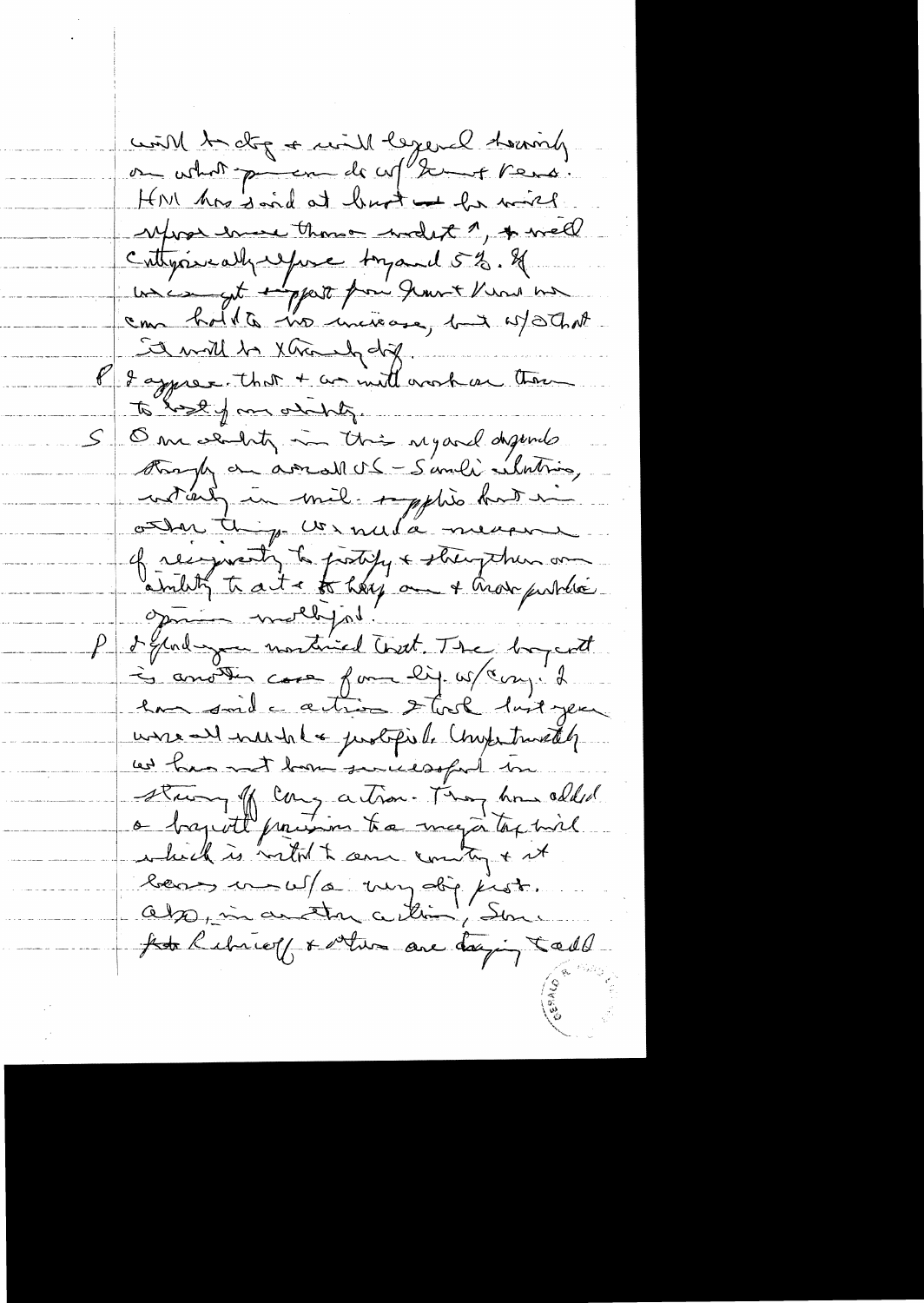with to dag + will legend hearing on what presence de cof bene rens. HM Ans said at bust to bink sylves have thousand would be well Cuttyriseath copiese tryand 52.8 unica get empert pour haut V une mon com hold to he mercase, but watched it will be xhowned dif of I appreciation + an with another there to tost of my others at S One entity in this ryand depends Prophe de arreall US - Sambi alleting which in mil. of phis hat a other things we wish a measure of reignaty to postify + strengthen on opinion molly of I find you northind that The boyert à another case form lig w/comp & han sond c action total last year uses all numbre justifield unpertravely we has not born successful in strong of cong a tron. They has alled beas unufaire dippért. for Rebrief , & other are daying tall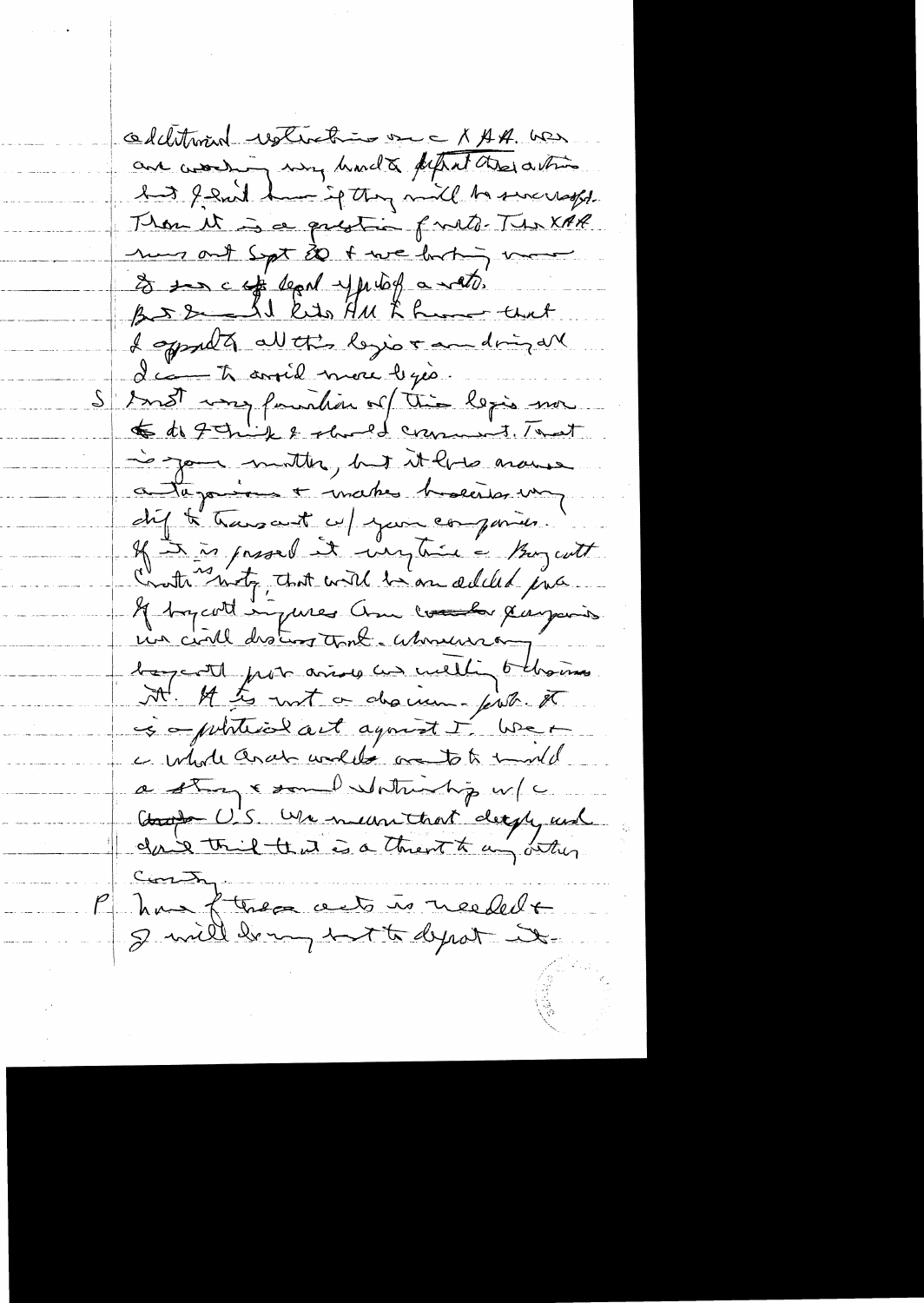cedentmin restrictions once XAA. has are working way hard to fifted the white has I said hun if they mill be successful. Thou it is a greation fritz. The XAR mus out Sept 20 + we but in to some est deput up nicely a water. I appeal all this legio & andrinal d'aiment avec de merce le géo. Most my familier of this legis mor  $\overline{2}$ to de formik & should crement. That is your months, but it had around a tagonion + makes hoserly un chif to transant up your compariso. If it is passed it imptice a Burgaritt Cratismetz, that will be an added jus. If bycott impures am combe payais. un civil disting tout Monument bayant proto arise as welling obligens M. It to not a dequem-first & so pointered act agreed I went c whole aran would anotok model a stag & some detail top w/c Coupe U.S. We meanthat decipy and dans trie that is a thrent to any other Contr hans fterda auto is needed +